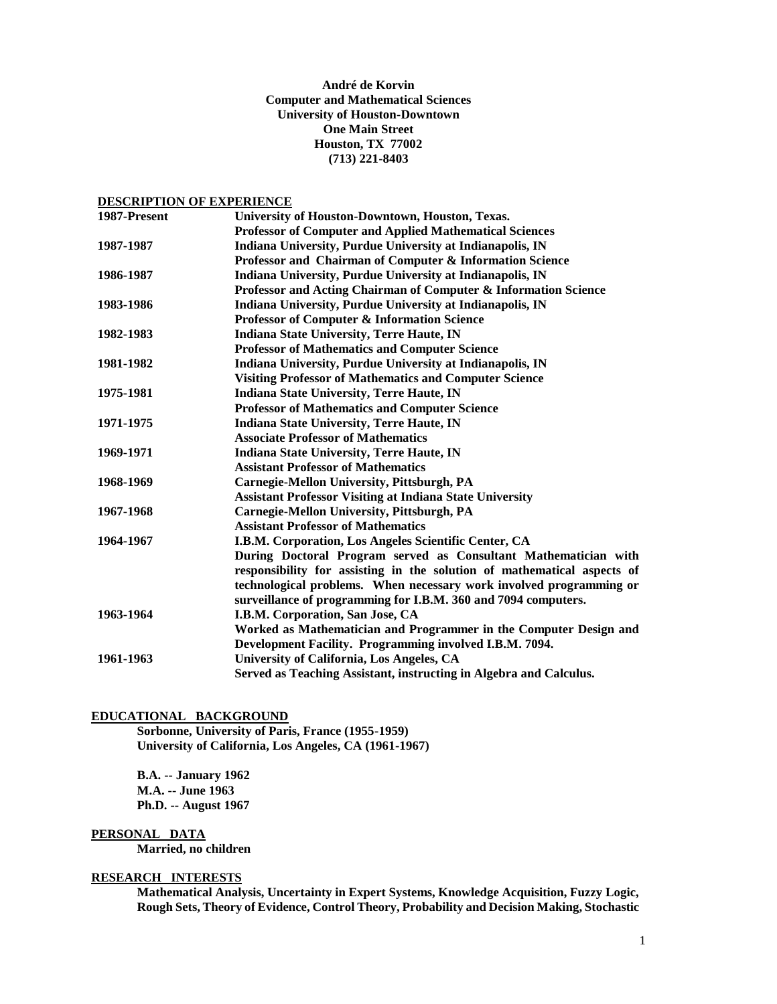# **André de Korvin Computer and Mathematical Sciences University of Houston-Downtown One Main Street Houston, TX 77002 (713) 221-8403**

# **DESCRIPTION OF EXPERIENCE**

| 1987-Present | University of Houston-Downtown, Houston, Texas.                         |
|--------------|-------------------------------------------------------------------------|
|              | <b>Professor of Computer and Applied Mathematical Sciences</b>          |
| 1987-1987    | Indiana University, Purdue University at Indianapolis, IN               |
|              | Professor and Chairman of Computer & Information Science                |
| 1986-1987    | Indiana University, Purdue University at Indianapolis, IN               |
|              | Professor and Acting Chairman of Computer & Information Science         |
| 1983-1986    | Indiana University, Purdue University at Indianapolis, IN               |
|              | <b>Professor of Computer &amp; Information Science</b>                  |
| 1982-1983    | <b>Indiana State University, Terre Haute, IN</b>                        |
|              | <b>Professor of Mathematics and Computer Science</b>                    |
| 1981-1982    | Indiana University, Purdue University at Indianapolis, IN               |
|              | <b>Visiting Professor of Mathematics and Computer Science</b>           |
| 1975-1981    | <b>Indiana State University, Terre Haute, IN</b>                        |
|              | <b>Professor of Mathematics and Computer Science</b>                    |
| 1971-1975    | <b>Indiana State University, Terre Haute, IN</b>                        |
|              | <b>Associate Professor of Mathematics</b>                               |
| 1969-1971    | <b>Indiana State University, Terre Haute, IN</b>                        |
|              | <b>Assistant Professor of Mathematics</b>                               |
| 1968-1969    | Carnegie-Mellon University, Pittsburgh, PA                              |
|              | <b>Assistant Professor Visiting at Indiana State University</b>         |
| 1967-1968    | Carnegie-Mellon University, Pittsburgh, PA                              |
|              | <b>Assistant Professor of Mathematics</b>                               |
| 1964-1967    | I.B.M. Corporation, Los Angeles Scientific Center, CA                   |
|              | During Doctoral Program served as Consultant Mathematician with         |
|              | responsibility for assisting in the solution of mathematical aspects of |
|              | technological problems. When necessary work involved programming or     |
|              | surveillance of programming for I.B.M. 360 and 7094 computers.          |
| 1963-1964    | I.B.M. Corporation, San Jose, CA                                        |
|              | Worked as Mathematician and Programmer in the Computer Design and       |
|              | Development Facility. Programming involved I.B.M. 7094.                 |
| 1961-1963    | University of California, Los Angeles, CA                               |
|              | Served as Teaching Assistant, instructing in Algebra and Calculus.      |

#### **EDUCATIONAL BACKGROUND**

**Sorbonne, University of Paris, France (1955-1959) University of California, Los Angeles, CA (1961-1967)**

**B.A. -- January 1962 M.A. -- June 1963 Ph.D. -- August 1967**

#### **PERSONAL DATA**

**Married, no children**

# **RESEARCH INTERESTS**

**Mathematical Analysis, Uncertainty in Expert Systems, Knowledge Acquisition, Fuzzy Logic, Rough Sets, Theory of Evidence, Control Theory, Probability and Decision Making, Stochastic**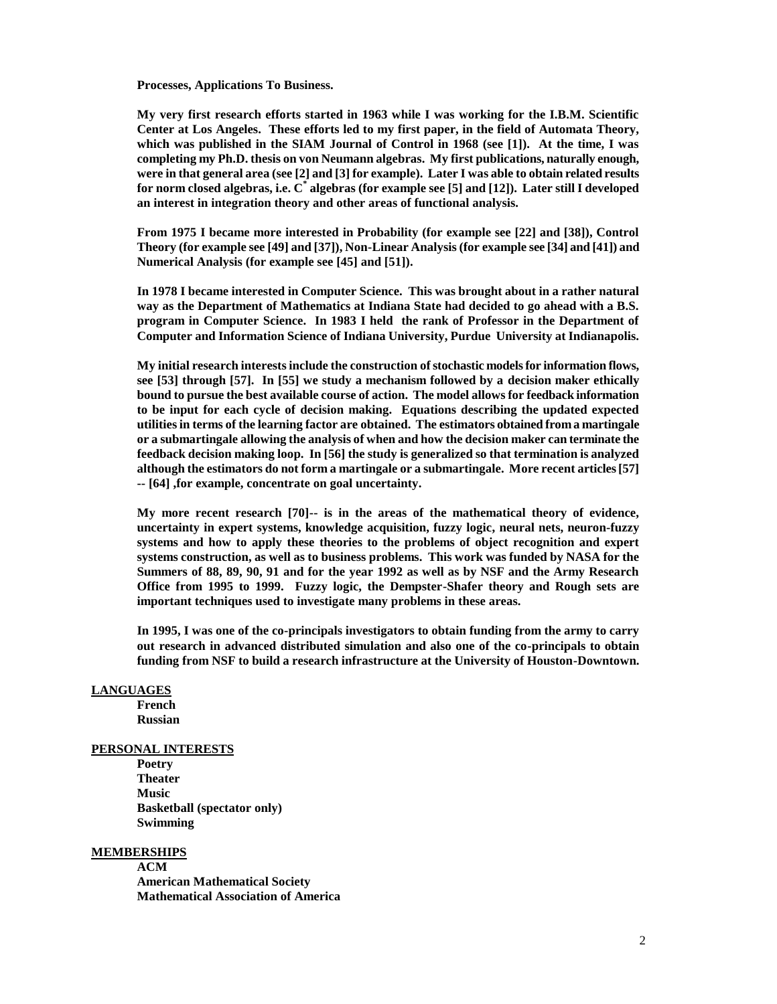**Processes, Applications To Business.**

**My very first research efforts started in 1963 while I was working for the I.B.M. Scientific Center at Los Angeles. These efforts led to my first paper, in the field of Automata Theory, which was published in the SIAM Journal of Control in 1968 (see [1]). At the time, I was completing my Ph.D. thesis on von Neumann algebras. My first publications, naturally enough, were in that general area (see [2] and [3] for example). Later I was able to obtain related results for norm closed algebras, i.e. C\* algebras (for example see [5] and [12]). Later still I developed an interest in integration theory and other areas of functional analysis.**

**From 1975 I became more interested in Probability (for example see [22] and [38]), Control Theory (for example see [49] and [37]), Non-Linear Analysis (for example see [34] and [41]) and Numerical Analysis (for example see [45] and [51]).**

**In 1978 I became interested in Computer Science. This was brought about in a rather natural way as the Department of Mathematics at Indiana State had decided to go ahead with a B.S. program in Computer Science. In 1983 I held the rank of Professor in the Department of Computer and Information Science of Indiana University, Purdue University at Indianapolis.**

**My initial research interests include the construction of stochastic models for information flows, see [53] through [57]. In [55] we study a mechanism followed by a decision maker ethically bound to pursue the best available course of action. The model allows for feedback information to be input for each cycle of decision making. Equations describing the updated expected utilities in terms of the learning factor are obtained. The estimators obtained from a martingale or a submartingale allowing the analysis of when and how the decision maker can terminate the feedback decision making loop. In [56] the study is generalized so that termination is analyzed although the estimators do not form a martingale or a submartingale. More recent articles [57] -- [64] ,for example, concentrate on goal uncertainty.**

**My more recent research [70]-- is in the areas of the mathematical theory of evidence, uncertainty in expert systems, knowledge acquisition, fuzzy logic, neural nets, neuron-fuzzy systems and how to apply these theories to the problems of object recognition and expert systems construction, as well as to business problems. This work was funded by NASA for the Summers of 88, 89, 90, 91 and for the year 1992 as well as by NSF and the Army Research Office from 1995 to 1999. Fuzzy logic, the Dempster-Shafer theory and Rough sets are important techniques used to investigate many problems in these areas.**

**In 1995, I was one of the co-principals investigators to obtain funding from the army to carry out research in advanced distributed simulation and also one of the co-principals to obtain funding from NSF to build a research infrastructure at the University of Houston-Downtown.**

### **LANGUAGES**

**French Russian**

### **PERSONAL INTERESTS**

**Poetry Theater Music Basketball (spectator only) Swimming**

#### **MEMBERSHIPS**

**ACM American Mathematical Society Mathematical Association of America**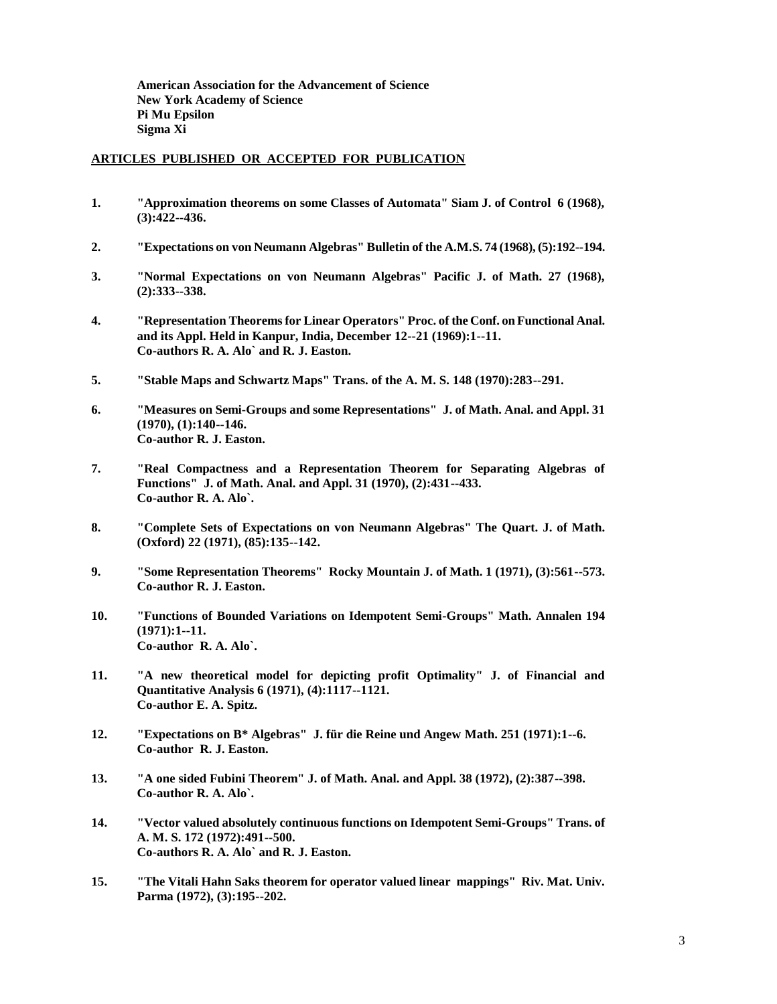**American Association for the Advancement of Science New York Academy of Science Pi Mu Epsilon Sigma Xi**

#### **ARTICLES PUBLISHED OR ACCEPTED FOR PUBLICATION**

- **1. "Approximation theorems on some Classes of Automata" Siam J. of Control 6 (1968), (3):422--436.**
- **2. "Expectations on von Neumann Algebras" Bulletin of the A.M.S. 74 (1968), (5):192--194.**
- **3. "Normal Expectations on von Neumann Algebras" Pacific J. of Math. 27 (1968), (2):333--338.**
- **4. "Representation Theorems for Linear Operators" Proc. of the Conf. on Functional Anal. and its Appl. Held in Kanpur, India, December 12--21 (1969):1--11. Co-authors R. A. Alo` and R. J. Easton.**
- **5. "Stable Maps and Schwartz Maps" Trans. of the A. M. S. 148 (1970):283--291.**
- **6. "Measures on Semi-Groups and some Representations" J. of Math. Anal. and Appl. 31 (1970), (1):140--146. Co-author R. J. Easton.**
- **7. "Real Compactness and a Representation Theorem for Separating Algebras of Functions" J. of Math. Anal. and Appl. 31 (1970), (2):431--433. Co-author R. A. Alo`.**
- **8. "Complete Sets of Expectations on von Neumann Algebras" The Quart. J. of Math. (Oxford) 22 (1971), (85):135--142.**
- **9. "Some Representation Theorems" Rocky Mountain J. of Math. 1 (1971), (3):561--573. Co-author R. J. Easton.**
- **10. "Functions of Bounded Variations on Idempotent Semi-Groups" Math. Annalen 194 (1971):1--11. Co-author R. A. Alo`.**
- **11. "A new theoretical model for depicting profit Optimality" J. of Financial and Quantitative Analysis 6 (1971), (4):1117--1121. Co-author E. A. Spitz.**
- **12. "Expectations on B\* Algebras" J. für die Reine und Angew Math. 251 (1971):1--6. Co-author R. J. Easton.**
- **13. "A one sided Fubini Theorem" J. of Math. Anal. and Appl. 38 (1972), (2):387--398. Co-author R. A. Alo`.**
- **14. "Vector valued absolutely continuous functions on Idempotent Semi-Groups" Trans. of A. M. S. 172 (1972):491--500. Co-authors R. A. Alo` and R. J. Easton.**
- **15. "The Vitali Hahn Saks theorem for operator valued linear mappings" Riv. Mat. Univ. Parma (1972), (3):195--202.**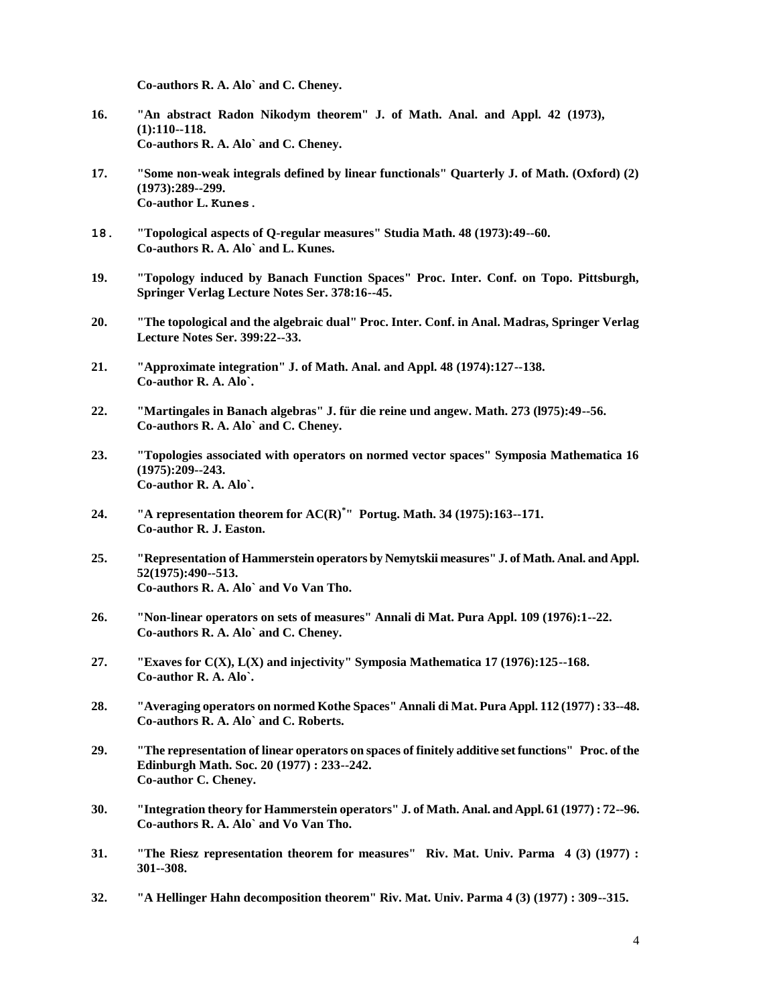**Co-authors R. A. Alo` and C. Cheney.**

- **16. "An abstract Radon Nikodym theorem" J. of Math. Anal. and Appl. 42 (1973), (1):110--118. Co-authors R. A. Alo` and C. Cheney.**
- **17. "Some non-weak integrals defined by linear functionals" Quarterly J. of Math. (Oxford) (2) (1973):289--299. Co-author L. Kunes.**
- **18. "Topological aspects of Q-regular measures" Studia Math. 48 (1973):49--60. Co-authors R. A. Alo` and L. Kunes.**
- **19. "Topology induced by Banach Function Spaces" Proc. Inter. Conf. on Topo. Pittsburgh, Springer Verlag Lecture Notes Ser. 378:16--45.**
- **20. "The topological and the algebraic dual" Proc. Inter. Conf. in Anal. Madras, Springer Verlag Lecture Notes Ser. 399:22--33.**
- **21. "Approximate integration" J. of Math. Anal. and Appl. 48 (1974):127--138. Co-author R. A. Alo`.**
- **22. "Martingales in Banach algebras" J. für die reine und angew. Math. 273 (l975):49--56. Co-authors R. A. Alo` and C. Cheney.**
- **23. "Topologies associated with operators on normed vector spaces" Symposia Mathematica 16 (1975):209--243. Co-author R. A. Alo`.**
- **24. "A representation theorem for AC(R)\* " Portug. Math. 34 (1975):163--171. Co-author R. J. Easton.**
- **25. "Representation of Hammerstein operators by Nemytskii measures" J. of Math. Anal. and Appl. 52(1975):490--513. Co-authors R. A. Alo` and Vo Van Tho.**
- **26. "Non-linear operators on sets of measures" Annali di Mat. Pura Appl. 109 (1976):1--22. Co-authors R. A. Alo` and C. Cheney.**
- **27. "Exaves for C(X), L(X) and injectivity" Symposia Mathematica 17 (1976):125--168. Co-author R. A. Alo`.**
- **28. "Averaging operators on normed Kothe Spaces" Annali di Mat. Pura Appl. 112 (1977) : 33--48. Co-authors R. A. Alo` and C. Roberts.**
- **29. "The representation of linear operators on spaces of finitely additive set functions" Proc. of the Edinburgh Math. Soc. 20 (1977) : 233--242. Co-author C. Cheney.**
- **30. "Integration theory for Hammerstein operators" J. of Math. Anal. and Appl. 61 (1977) : 72--96. Co-authors R. A. Alo` and Vo Van Tho.**
- **31. "The Riesz representation theorem for measures" Riv. Mat. Univ. Parma 4 (3) (1977) : 301--308.**
- **32. "A Hellinger Hahn decomposition theorem" Riv. Mat. Univ. Parma 4 (3) (1977) : 309--315.**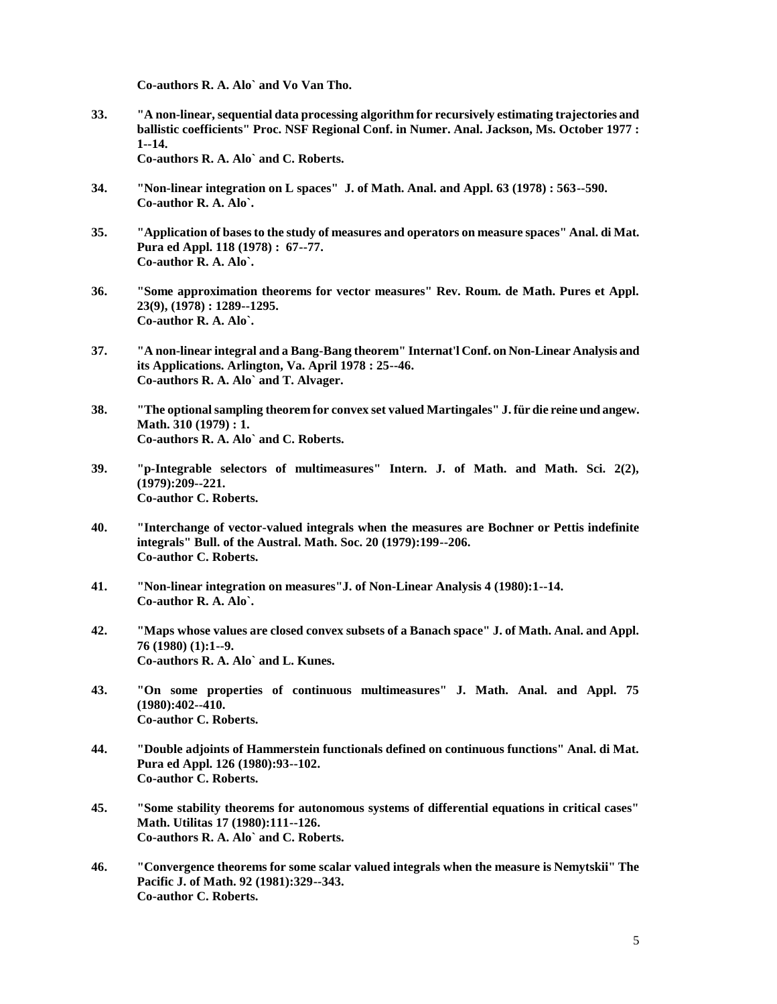**Co-authors R. A. Alo` and Vo Van Tho.**

**33. "A non-linear, sequential data processing algorithm for recursively estimating trajectories and ballistic coefficients" Proc. NSF Regional Conf. in Numer. Anal. Jackson, Ms. October 1977 : 1--14.**

**Co-authors R. A. Alo` and C. Roberts.**

- **34. "Non-linear integration on L spaces" J. of Math. Anal. and Appl. 63 (1978) : 563--590. Co-author R. A. Alo`.**
- **35. "Application of bases to the study of measures and operators on measure spaces" Anal. di Mat. Pura ed Appl. 118 (1978) : 67--77. Co-author R. A. Alo`.**
- **36. "Some approximation theorems for vector measures" Rev. Roum. de Math. Pures et Appl. 23(9), (1978) : 1289--1295. Co-author R. A. Alo`.**
- **37. "A non-linear integral and a Bang-Bang theorem" Internat'l Conf. on Non-Linear Analysis and its Applications. Arlington, Va. April 1978 : 25--46. Co-authors R. A. Alo` and T. Alvager.**
- **38. "The optional sampling theorem for convex set valued Martingales" J. für die reine und angew. Math. 310 (1979) : 1. Co-authors R. A. Alo` and C. Roberts.**
- **39. "p-Integrable selectors of multimeasures" Intern. J. of Math. and Math. Sci. 2(2), (1979):209--221. Co-author C. Roberts.**
- **40. "Interchange of vector-valued integrals when the measures are Bochner or Pettis indefinite integrals" Bull. of the Austral. Math. Soc. 20 (1979):199--206. Co-author C. Roberts.**
- **41. "Non-linear integration on measures"J. of Non-Linear Analysis 4 (1980):1--14. Co-author R. A. Alo`.**
- **42. "Maps whose values are closed convex subsets of a Banach space" J. of Math. Anal. and Appl. 76 (1980) (1):1--9. Co-authors R. A. Alo` and L. Kunes.**
- **43. "On some properties of continuous multimeasures" J. Math. Anal. and Appl. 75 (1980):402--410. Co-author C. Roberts.**
- **44. "Double adjoints of Hammerstein functionals defined on continuous functions" Anal. di Mat. Pura ed Appl. 126 (1980):93--102. Co-author C. Roberts.**
- **45. "Some stability theorems for autonomous systems of differential equations in critical cases" Math. Utilitas 17 (1980):111--126. Co-authors R. A. Alo` and C. Roberts.**
- **46. "Convergence theorems for some scalar valued integrals when the measure is Nemytskii" The Pacific J. of Math. 92 (1981):329--343. Co-author C. Roberts.**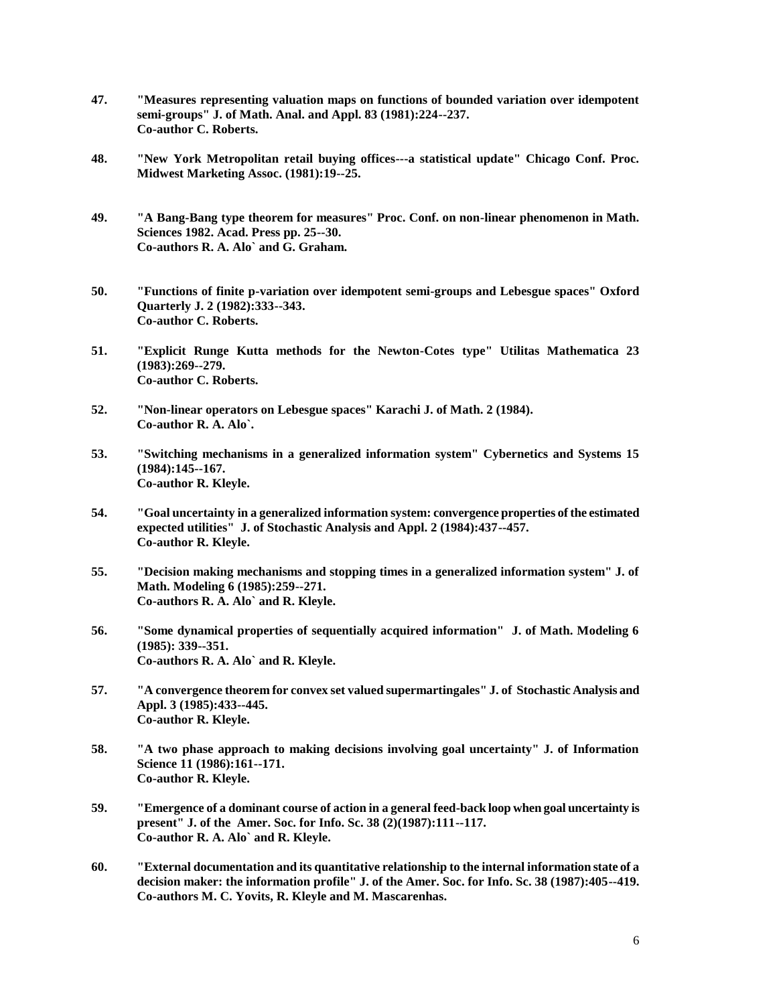- **47. "Measures representing valuation maps on functions of bounded variation over idempotent semi-groups" J. of Math. Anal. and Appl. 83 (1981):224--237. Co-author C. Roberts.**
- **48. "New York Metropolitan retail buying offices---a statistical update" Chicago Conf. Proc. Midwest Marketing Assoc. (1981):19--25.**
- **49. "A Bang-Bang type theorem for measures" Proc. Conf. on non-linear phenomenon in Math. Sciences 1982. Acad. Press pp. 25--30. Co-authors R. A. Alo` and G. Graham.**
- **50. "Functions of finite p-variation over idempotent semi-groups and Lebesgue spaces" Oxford Quarterly J. 2 (1982):333--343. Co-author C. Roberts.**
- **51. "Explicit Runge Kutta methods for the Newton-Cotes type" Utilitas Mathematica 23 (1983):269--279. Co-author C. Roberts.**
- **52. "Non-linear operators on Lebesgue spaces" Karachi J. of Math. 2 (1984). Co-author R. A. Alo`.**
- **53. "Switching mechanisms in a generalized information system" Cybernetics and Systems 15 (1984):145--167. Co-author R. Kleyle.**
- **54. "Goal uncertainty in a generalized information system: convergence properties of the estimated expected utilities" J. of Stochastic Analysis and Appl. 2 (1984):437--457. Co-author R. Kleyle.**
- **55. "Decision making mechanisms and stopping times in a generalized information system" J. of Math. Modeling 6 (1985):259--271. Co-authors R. A. Alo` and R. Kleyle.**
- **56. "Some dynamical properties of sequentially acquired information" J. of Math. Modeling 6 (1985): 339--351. Co-authors R. A. Alo` and R. Kleyle.**
- **57. "A convergence theorem for convex set valued supermartingales" J. of Stochastic Analysis and Appl. 3 (1985):433--445. Co-author R. Kleyle.**
- **58. "A two phase approach to making decisions involving goal uncertainty" J. of Information Science 11 (1986):161--171. Co-author R. Kleyle.**
- **59. "Emergence of a dominant course of action in a general feed-back loop when goal uncertainty is present" J. of the Amer. Soc. for Info. Sc. 38 (2)(1987):111--117. Co-author R. A. Alo` and R. Kleyle.**
- **60. "External documentation and its quantitative relationship to the internal information state of a decision maker: the information profile" J. of the Amer. Soc. for Info. Sc. 38 (1987):405--419. Co-authors M. C. Yovits, R. Kleyle and M. Mascarenhas.**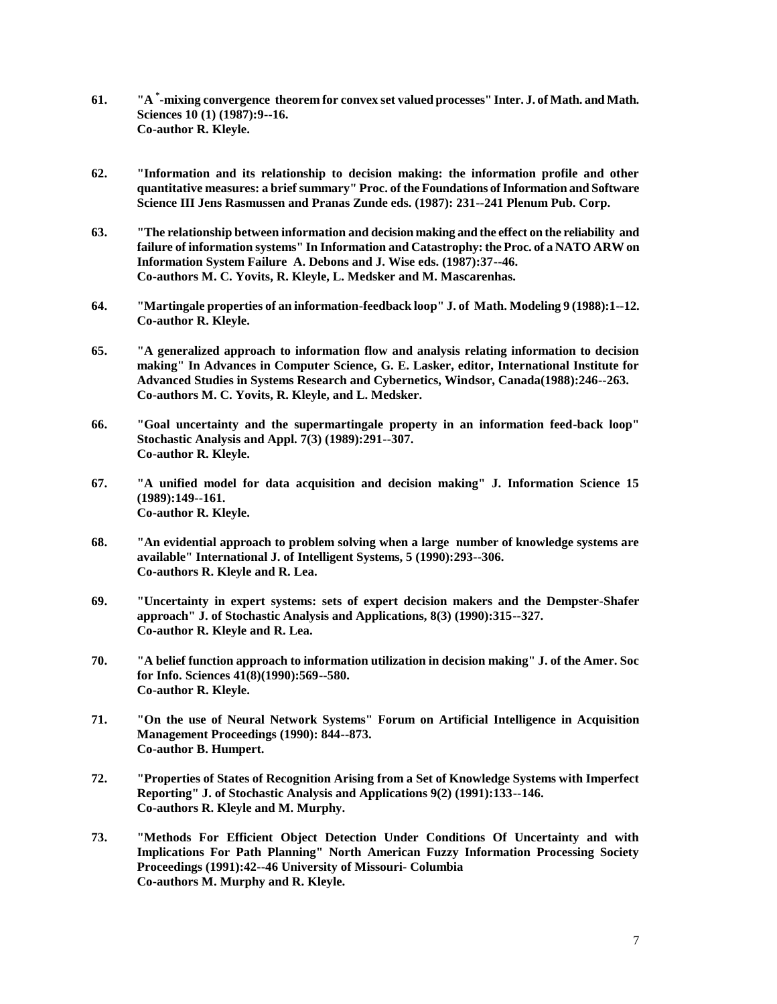- **61. "A \* -mixing convergence theorem for convex set valued processes" Inter. J. of Math. and Math. Sciences 10 (1) (1987):9--16. Co-author R. Kleyle.**
- **62. "Information and its relationship to decision making: the information profile and other quantitative measures: a brief summary" Proc. of the Foundations of Information and Software Science III Jens Rasmussen and Pranas Zunde eds. (1987): 231--241 Plenum Pub. Corp.**
- **63. "The relationship between information and decision making and the effect on the reliability and failure of information systems" In Information and Catastrophy: the Proc. of a NATO ARW on Information System Failure A. Debons and J. Wise eds. (1987):37--46. Co-authors M. C. Yovits, R. Kleyle, L. Medsker and M. Mascarenhas.**
- **64. "Martingale properties of an information-feedback loop" J. of Math. Modeling 9 (1988):1--12. Co-author R. Kleyle.**
- **65. "A generalized approach to information flow and analysis relating information to decision making" In Advances in Computer Science, G. E. Lasker, editor, International Institute for Advanced Studies in Systems Research and Cybernetics, Windsor, Canada(1988):246--263. Co-authors M. C. Yovits, R. Kleyle, and L. Medsker.**
- **66. "Goal uncertainty and the supermartingale property in an information feed-back loop" Stochastic Analysis and Appl. 7(3) (1989):291--307. Co-author R. Kleyle.**
- **67. "A unified model for data acquisition and decision making" J. Information Science 15 (1989):149--161. Co-author R. Kleyle.**
- **68. "An evidential approach to problem solving when a large number of knowledge systems are available" International J. of Intelligent Systems, 5 (1990):293--306. Co-authors R. Kleyle and R. Lea.**
- **69. "Uncertainty in expert systems: sets of expert decision makers and the Dempster-Shafer approach" J. of Stochastic Analysis and Applications, 8(3) (1990):315--327. Co-author R. Kleyle and R. Lea.**
- **70. "A belief function approach to information utilization in decision making" J. of the Amer. Soc for Info. Sciences 41(8)(1990):569--580. Co-author R. Kleyle.**
- **71. "On the use of Neural Network Systems" Forum on Artificial Intelligence in Acquisition Management Proceedings (1990): 844--873. Co-author B. Humpert.**
- **72. "Properties of States of Recognition Arising from a Set of Knowledge Systems with Imperfect Reporting" J. of Stochastic Analysis and Applications 9(2) (1991):133--146. Co-authors R. Kleyle and M. Murphy.**
- **73. "Methods For Efficient Object Detection Under Conditions Of Uncertainty and with Implications For Path Planning" North American Fuzzy Information Processing Society Proceedings (1991):42--46 University of Missouri- Columbia Co-authors M. Murphy and R. Kleyle.**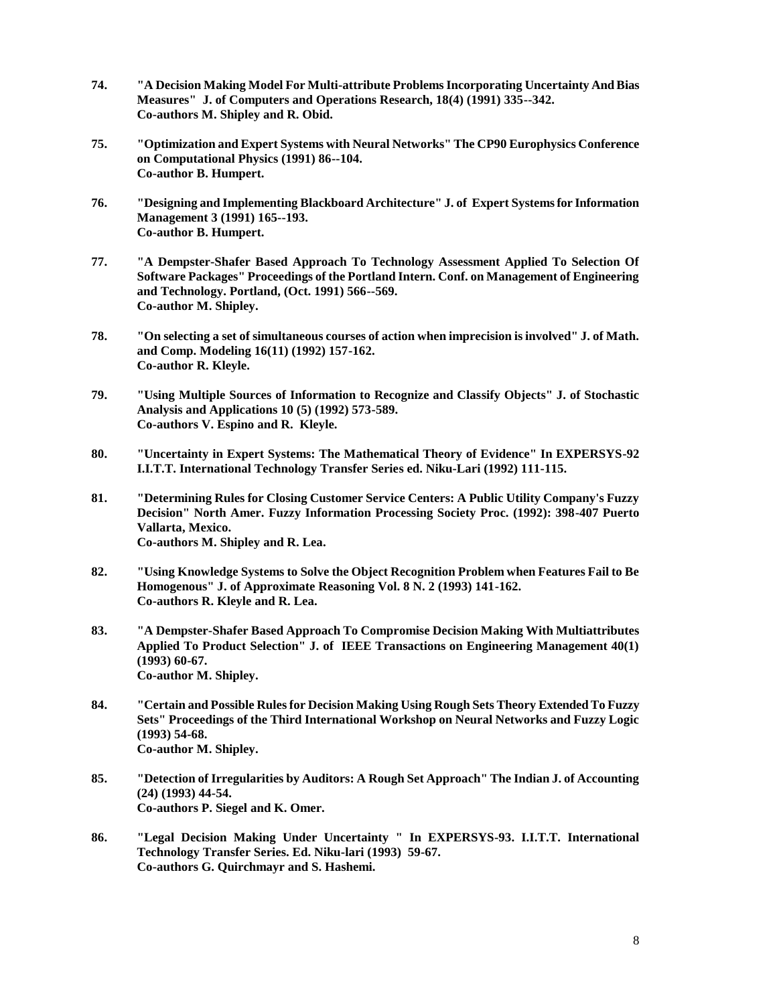- **74. "A Decision Making Model For Multi-attribute Problems Incorporating Uncertainty And Bias Measures" J. of Computers and Operations Research, 18(4) (1991) 335--342. Co-authors M. Shipley and R. Obid.**
- **75. "Optimization and Expert Systems with Neural Networks" The CP90 Europhysics Conference on Computational Physics (1991) 86--104. Co-author B. Humpert.**
- **76. "Designing and Implementing Blackboard Architecture" J. of Expert Systems for Information Management 3 (1991) 165--193. Co-author B. Humpert.**
- **77. "A Dempster-Shafer Based Approach To Technology Assessment Applied To Selection Of Software Packages" Proceedings of the Portland Intern. Conf. on Management of Engineering and Technology. Portland, (Oct. 1991) 566--569. Co-author M. Shipley.**
- **78. "On selecting a set of simultaneous courses of action when imprecision is involved" J. of Math. and Comp. Modeling 16(11) (1992) 157-162. Co-author R. Kleyle.**
- **79. "Using Multiple Sources of Information to Recognize and Classify Objects" J. of Stochastic Analysis and Applications 10 (5) (1992) 573-589. Co-authors V. Espino and R. Kleyle.**
- **80. "Uncertainty in Expert Systems: The Mathematical Theory of Evidence" In EXPERSYS-92 I.I.T.T. International Technology Transfer Series ed. Niku-Lari (1992) 111-115.**
- **81. "Determining Rules for Closing Customer Service Centers: A Public Utility Company's Fuzzy Decision" North Amer. Fuzzy Information Processing Society Proc. (1992): 398-407 Puerto Vallarta, Mexico. Co-authors M. Shipley and R. Lea.**
- **82. "Using Knowledge Systems to Solve the Object Recognition Problem when Features Fail to Be Homogenous" J. of Approximate Reasoning Vol. 8 N. 2 (1993) 141-162. Co-authors R. Kleyle and R. Lea.**
- **83. "A Dempster-Shafer Based Approach To Compromise Decision Making With Multiattributes Applied To Product Selection" J. of IEEE Transactions on Engineering Management 40(1) (1993) 60-67. Co-author M. Shipley.**
- **84. "Certain and Possible Rules for Decision Making Using Rough Sets Theory Extended To Fuzzy Sets" Proceedings of the Third International Workshop on Neural Networks and Fuzzy Logic (1993) 54-68. Co-author M. Shipley.**
- **85. "Detection of Irregularities by Auditors: A Rough Set Approach" The Indian J. of Accounting (24) (1993) 44-54. Co-authors P. Siegel and K. Omer.**
- **86. "Legal Decision Making Under Uncertainty " In EXPERSYS-93. I.I.T.T. International Technology Transfer Series. Ed. Niku-lari (1993) 59-67. Co-authors G. Quirchmayr and S. Hashemi.**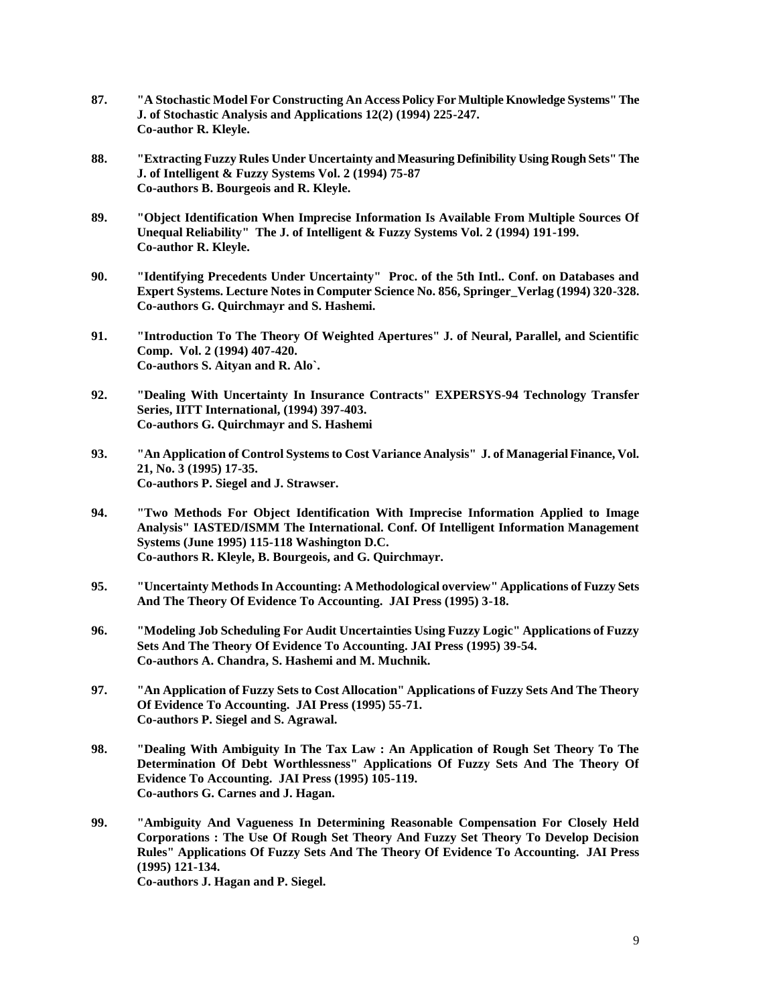- **87. "A Stochastic Model For Constructing An Access Policy For Multiple Knowledge Systems" The J. of Stochastic Analysis and Applications 12(2) (1994) 225-247. Co-author R. Kleyle.**
- **88. "Extracting Fuzzy Rules Under Uncertainty and Measuring Definibility Using Rough Sets" The J. of Intelligent & Fuzzy Systems Vol. 2 (1994) 75-87 Co-authors B. Bourgeois and R. Kleyle.**
- **89. "Object Identification When Imprecise Information Is Available From Multiple Sources Of Unequal Reliability" The J. of Intelligent & Fuzzy Systems Vol. 2 (1994) 191-199. Co-author R. Kleyle.**
- **90. "Identifying Precedents Under Uncertainty" Proc. of the 5th Intl.. Conf. on Databases and Expert Systems. Lecture Notes in Computer Science No. 856, Springer\_Verlag (1994) 320-328. Co-authors G. Quirchmayr and S. Hashemi.**
- **91. "Introduction To The Theory Of Weighted Apertures" J. of Neural, Parallel, and Scientific Comp. Vol. 2 (1994) 407-420. Co-authors S. Aityan and R. Alo`.**
- **92. "Dealing With Uncertainty In Insurance Contracts" EXPERSYS-94 Technology Transfer Series, IITT International, (1994) 397-403. Co-authors G. Quirchmayr and S. Hashemi**
- **93. "An Application of Control Systems to Cost Variance Analysis" J. of Managerial Finance, Vol. 21, No. 3 (1995) 17-35. Co-authors P. Siegel and J. Strawser.**
- **94. "Two Methods For Object Identification With Imprecise Information Applied to Image Analysis" IASTED/ISMM The International. Conf. Of Intelligent Information Management Systems (June 1995) 115-118 Washington D.C. Co-authors R. Kleyle, B. Bourgeois, and G. Quirchmayr.**
- **95. "Uncertainty Methods In Accounting: A Methodological overview" Applications of Fuzzy Sets And The Theory Of Evidence To Accounting. JAI Press (1995) 3-18.**
- **96. "Modeling Job Scheduling For Audit Uncertainties Using Fuzzy Logic" Applications of Fuzzy Sets And The Theory Of Evidence To Accounting. JAI Press (1995) 39-54. Co-authors A. Chandra, S. Hashemi and M. Muchnik.**
- **97. "An Application of Fuzzy Sets to Cost Allocation" Applications of Fuzzy Sets And The Theory Of Evidence To Accounting. JAI Press (1995) 55-71. Co-authors P. Siegel and S. Agrawal.**
- **98. "Dealing With Ambiguity In The Tax Law : An Application of Rough Set Theory To The Determination Of Debt Worthlessness" Applications Of Fuzzy Sets And The Theory Of Evidence To Accounting. JAI Press (1995) 105-119. Co-authors G. Carnes and J. Hagan.**
- **99. "Ambiguity And Vagueness In Determining Reasonable Compensation For Closely Held Corporations : The Use Of Rough Set Theory And Fuzzy Set Theory To Develop Decision Rules" Applications Of Fuzzy Sets And The Theory Of Evidence To Accounting. JAI Press (1995) 121-134.**

**Co-authors J. Hagan and P. Siegel.**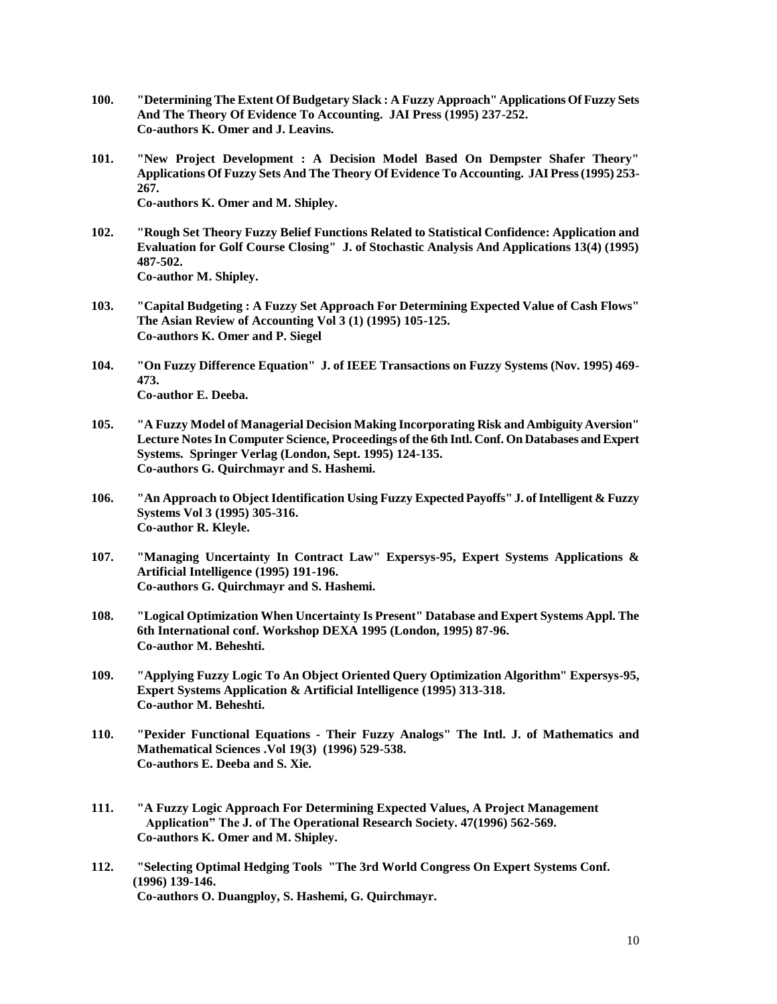- **100. "Determining The Extent Of Budgetary Slack : A Fuzzy Approach" Applications Of Fuzzy Sets And The Theory Of Evidence To Accounting. JAI Press (1995) 237-252. Co-authors K. Omer and J. Leavins.**
- **101. "New Project Development : A Decision Model Based On Dempster Shafer Theory" Applications Of Fuzzy Sets And The Theory Of Evidence To Accounting. JAI Press (1995) 253- 267. Co-authors K. Omer and M. Shipley.**
- **102. "Rough Set Theory Fuzzy Belief Functions Related to Statistical Confidence: Application and Evaluation for Golf Course Closing" J. of Stochastic Analysis And Applications 13(4) (1995) 487-502. Co-author M. Shipley.**
- **103. "Capital Budgeting : A Fuzzy Set Approach For Determining Expected Value of Cash Flows" The Asian Review of Accounting Vol 3 (1) (1995) 105-125. Co-authors K. Omer and P. Siegel**
- **104. "On Fuzzy Difference Equation" J. of IEEE Transactions on Fuzzy Systems (Nov. 1995) 469- 473. Co-author E. Deeba.**
- **105. "A Fuzzy Model of Managerial Decision Making Incorporating Risk and Ambiguity Aversion" Lecture Notes In Computer Science, Proceedings of the 6th Intl. Conf. On Databases and Expert Systems. Springer Verlag (London, Sept. 1995) 124-135. Co-authors G. Quirchmayr and S. Hashemi.**
- **106. "An Approach to Object Identification Using Fuzzy Expected Payoffs" J. of Intelligent & Fuzzy Systems Vol 3 (1995) 305-316. Co-author R. Kleyle.**
- **107. "Managing Uncertainty In Contract Law" Expersys-95, Expert Systems Applications & Artificial Intelligence (1995) 191-196. Co-authors G. Quirchmayr and S. Hashemi.**
- **108. "Logical Optimization When Uncertainty Is Present" Database and Expert Systems Appl. The 6th International conf. Workshop DEXA 1995 (London, 1995) 87-96. Co-author M. Beheshti.**
- **109. "Applying Fuzzy Logic To An Object Oriented Query Optimization Algorithm" Expersys-95, Expert Systems Application & Artificial Intelligence (1995) 313-318. Co-author M. Beheshti.**
- **110. "Pexider Functional Equations - Their Fuzzy Analogs" The Intl. J. of Mathematics and Mathematical Sciences .Vol 19(3) (1996) 529-538. Co-authors E. Deeba and S. Xie.**
- **111. "A Fuzzy Logic Approach For Determining Expected Values, A Project Management Application" The J. of The Operational Research Society. 47(1996) 562-569. Co-authors K. Omer and M. Shipley.**
- **112. "Selecting Optimal Hedging Tools "The 3rd World Congress On Expert Systems Conf. (1996) 139-146. Co-authors O. Duangploy, S. Hashemi, G. Quirchmayr.**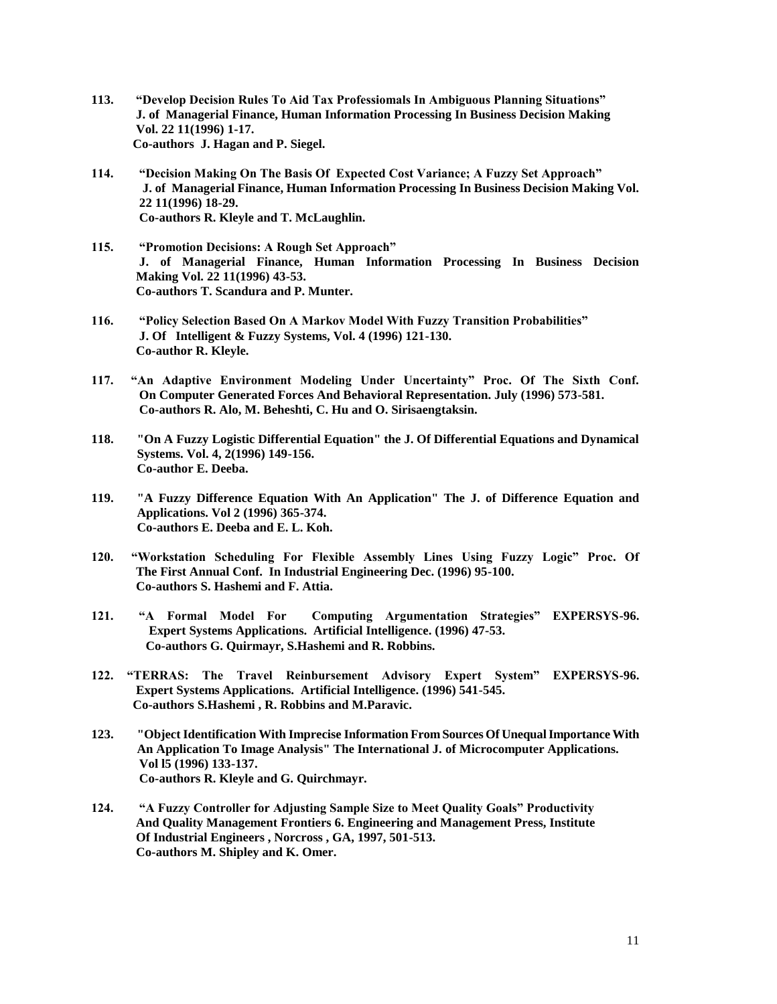- **113. "Develop Decision Rules To Aid Tax Professiomals In Ambiguous Planning Situations" J. of Managerial Finance, Human Information Processing In Business Decision Making Vol. 22 11(1996) 1-17. Co-authors J. Hagan and P. Siegel.**
- **114. "Decision Making On The Basis Of Expected Cost Variance; A Fuzzy Set Approach" J. of Managerial Finance, Human Information Processing In Business Decision Making Vol. 22 11(1996) 18-29. Co-authors R. Kleyle and T. McLaughlin.**
- **115. "Promotion Decisions: A Rough Set Approach" J. of Managerial Finance, Human Information Processing In Business Decision Making Vol. 22 11(1996) 43-53. Co-authors T. Scandura and P. Munter.**
- **116. "Policy Selection Based On A Markov Model With Fuzzy Transition Probabilities" J. Of Intelligent & Fuzzy Systems, Vol. 4 (1996) 121-130. Co-author R. Kleyle.**
- **117. "An Adaptive Environment Modeling Under Uncertainty" Proc. Of The Sixth Conf. On Computer Generated Forces And Behavioral Representation. July (1996) 573-581. Co-authors R. Alo, M. Beheshti, C. Hu and O. Sirisaengtaksin.**
- **118. "On A Fuzzy Logistic Differential Equation" the J. Of Differential Equations and Dynamical Systems. Vol. 4, 2(1996) 149-156. Co-author E. Deeba.**
- **119. "A Fuzzy Difference Equation With An Application" The J. of Difference Equation and Applications. Vol 2 (1996) 365-374. Co-authors E. Deeba and E. L. Koh.**
- **120. "Workstation Scheduling For Flexible Assembly Lines Using Fuzzy Logic" Proc. Of The First Annual Conf. In Industrial Engineering Dec. (1996) 95-100. Co-authors S. Hashemi and F. Attia.**
- **121. "A Formal Model For Computing Argumentation Strategies" EXPERSYS-96. Expert Systems Applications. Artificial Intelligence. (1996) 47-53. Co-authors G. Quirmayr, S.Hashemi and R. Robbins.**
- **122. "TERRAS: The Travel Reinbursement Advisory Expert System" EXPERSYS-96. Expert Systems Applications. Artificial Intelligence. (1996) 541-545. Co-authors S.Hashemi , R. Robbins and M.Paravic.**
- **123. "Object Identification With Imprecise Information From Sources Of Unequal Importance With An Application To Image Analysis" The International J. of Microcomputer Applications. Vol l5 (1996) 133-137. Co-authors R. Kleyle and G. Quirchmayr.**
- **124. "A Fuzzy Controller for Adjusting Sample Size to Meet Quality Goals" Productivity And Quality Management Frontiers 6. Engineering and Management Press, Institute Of Industrial Engineers , Norcross , GA, 1997, 501-513. Co-authors M. Shipley and K. Omer.**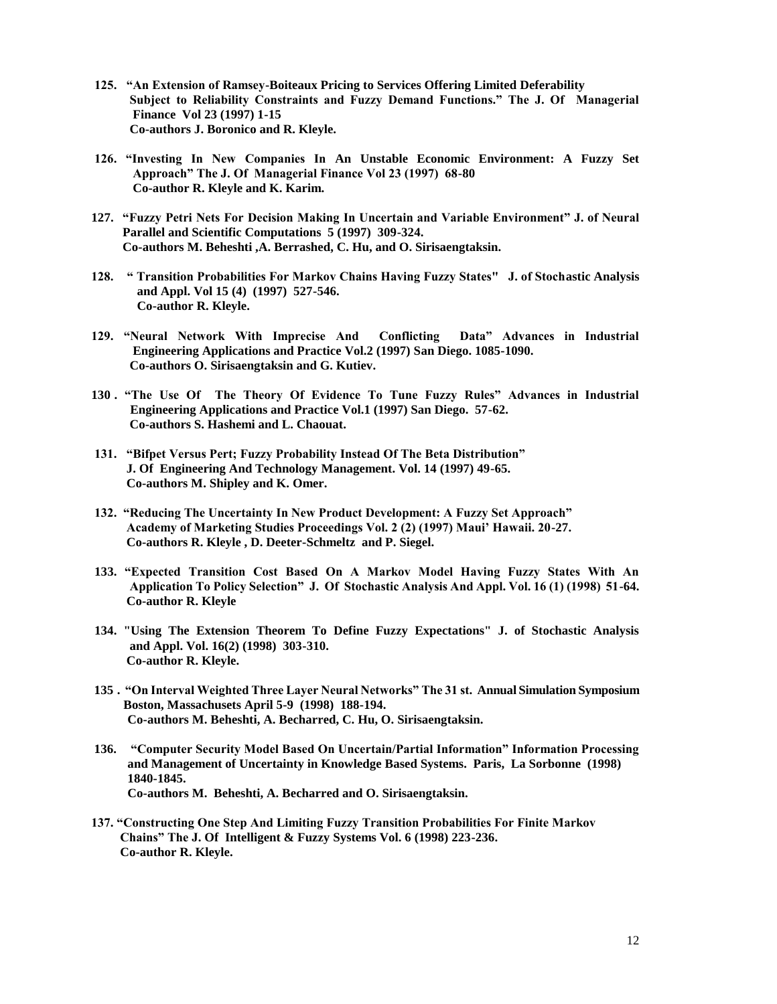- **125. "An Extension of Ramsey-Boiteaux Pricing to Services Offering Limited Deferability Subject to Reliability Constraints and Fuzzy Demand Functions." The J. Of Managerial Finance Vol 23 (1997) 1-15 Co-authors J. Boronico and R. Kleyle.**
- **126. "Investing In New Companies In An Unstable Economic Environment: A Fuzzy Set Approach" The J. Of Managerial Finance Vol 23 (1997) 68-80 Co-author R. Kleyle and K. Karim.**
- **127. "Fuzzy Petri Nets For Decision Making In Uncertain and Variable Environment" J. of Neural Parallel and Scientific Computations 5 (1997) 309-324. Co-authors M. Beheshti ,A. Berrashed, C. Hu, and O. Sirisaengtaksin.**
- **128. " Transition Probabilities For Markov Chains Having Fuzzy States" J. of Stochastic Analysis and Appl. Vol 15 (4) (1997) 527-546. Co-author R. Kleyle.**
- **129. "Neural Network With Imprecise And Conflicting Data" Advances in Industrial Engineering Applications and Practice Vol.2 (1997) San Diego. 1085-1090. Co-authors O. Sirisaengtaksin and G. Kutiev.**
- **130 . "The Use Of The Theory Of Evidence To Tune Fuzzy Rules" Advances in Industrial Engineering Applications and Practice Vol.1 (1997) San Diego. 57-62. Co-authors S. Hashemi and L. Chaouat.**
- **131. "Bifpet Versus Pert; Fuzzy Probability Instead Of The Beta Distribution" J. Of Engineering And Technology Management. Vol. 14 (1997) 49-65. Co-authors M. Shipley and K. Omer.**
- **132. "Reducing The Uncertainty In New Product Development: A Fuzzy Set Approach" Academy of Marketing Studies Proceedings Vol. 2 (2) (1997) Maui' Hawaii. 20-27. Co-authors R. Kleyle , D. Deeter-Schmeltz and P. Siegel.**
- **133. "Expected Transition Cost Based On A Markov Model Having Fuzzy States With An Application To Policy Selection" J. Of Stochastic Analysis And Appl. Vol. 16 (1) (1998) 51-64. Co-author R. Kleyle**
- **134. "Using The Extension Theorem To Define Fuzzy Expectations" J. of Stochastic Analysis and Appl. Vol. 16(2) (1998) 303-310. Co-author R. Kleyle.**
- **135 . "On Interval Weighted Three Layer Neural Networks" The 31 st. Annual Simulation Symposium Boston, Massachusets April 5-9 (1998) 188-194. Co-authors M. Beheshti, A. Becharred, C. Hu, O. Sirisaengtaksin.**
- **136. "Computer Security Model Based On Uncertain/Partial Information" Information Processing and Management of Uncertainty in Knowledge Based Systems. Paris, La Sorbonne (1998) 1840-1845. Co-authors M. Beheshti, A. Becharred and O. Sirisaengtaksin.**
- **137. "Constructing One Step And Limiting Fuzzy Transition Probabilities For Finite Markov Chains" The J. Of Intelligent & Fuzzy Systems Vol. 6 (1998) 223-236. Co-author R. Kleyle.**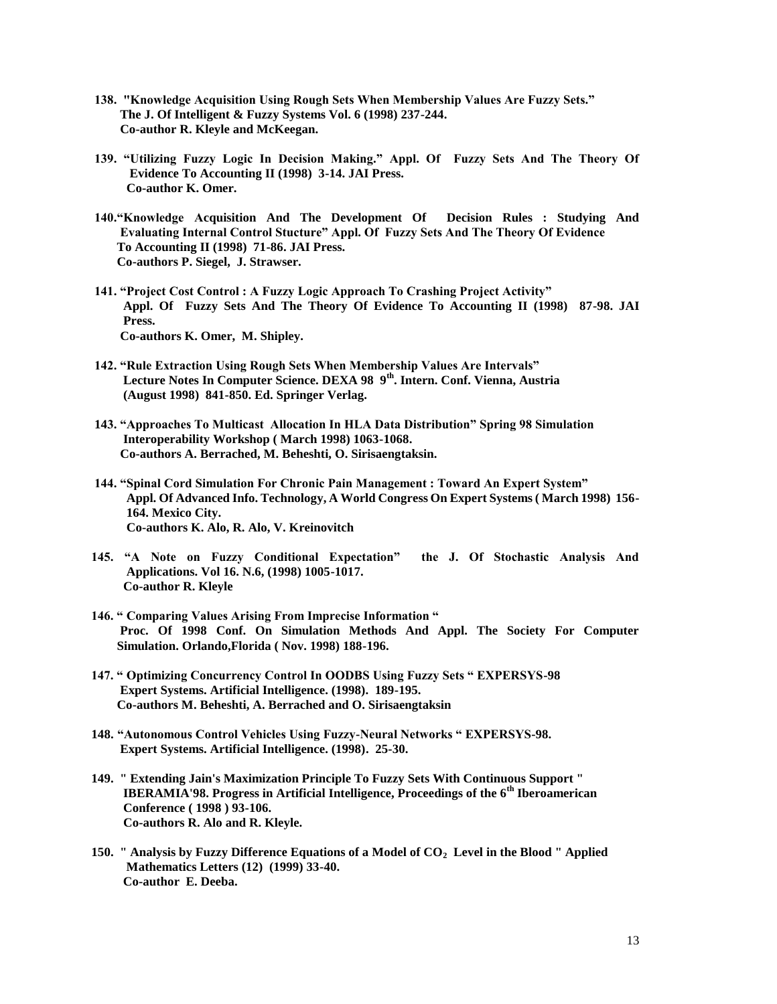- **138. "Knowledge Acquisition Using Rough Sets When Membership Values Are Fuzzy Sets." The J. Of Intelligent & Fuzzy Systems Vol. 6 (1998) 237-244. Co-author R. Kleyle and McKeegan.**
- **139. "Utilizing Fuzzy Logic In Decision Making." Appl. Of Fuzzy Sets And The Theory Of Evidence To Accounting II (1998) 3-14. JAI Press. Co-author K. Omer.**
- **140."Knowledge Acquisition And The Development Of Decision Rules : Studying And Evaluating Internal Control Stucture" Appl. Of Fuzzy Sets And The Theory Of Evidence To Accounting II (1998) 71-86. JAI Press. Co-authors P. Siegel, J. Strawser.**
- **141. "Project Cost Control : A Fuzzy Logic Approach To Crashing Project Activity" Appl. Of Fuzzy Sets And The Theory Of Evidence To Accounting II (1998) 87-98. JAI Press. Co-authors K. Omer, M. Shipley.**
- **142. "Rule Extraction Using Rough Sets When Membership Values Are Intervals" Lecture Notes In Computer Science. DEXA 98 9th. Intern. Conf. Vienna, Austria (August 1998) 841-850. Ed. Springer Verlag.**
- **143. "Approaches To Multicast Allocation In HLA Data Distribution" Spring 98 Simulation Interoperability Workshop ( March 1998) 1063-1068. Co-authors A. Berrached, M. Beheshti, O. Sirisaengtaksin.**
- **144. "Spinal Cord Simulation For Chronic Pain Management : Toward An Expert System" Appl. Of Advanced Info. Technology, A World Congress On Expert Systems ( March 1998) 156- 164. Mexico City. Co-authors K. Alo, R. Alo, V. Kreinovitch**
- **145. "A Note on Fuzzy Conditional Expectation" the J. Of Stochastic Analysis And Applications. Vol 16. N.6, (1998) 1005-1017. Co-author R. Kleyle**
- **146. " Comparing Values Arising From Imprecise Information " Proc. Of 1998 Conf. On Simulation Methods And Appl. The Society For Computer Simulation. Orlando,Florida ( Nov. 1998) 188-196.**
- **147. " Optimizing Concurrency Control In OODBS Using Fuzzy Sets " EXPERSYS-98 Expert Systems. Artificial Intelligence. (1998). 189-195. Co-authors M. Beheshti, A. Berrached and O. Sirisaengtaksin**
- **148. "Autonomous Control Vehicles Using Fuzzy-Neural Networks " EXPERSYS-98. Expert Systems. Artificial Intelligence. (1998). 25-30.**
- **149. " Extending Jain's Maximization Principle To Fuzzy Sets With Continuous Support " IBERAMIA'98. Progress in Artificial Intelligence, Proceedings of the 6th Iberoamerican Conference ( 1998 ) 93-106. Co-authors R. Alo and R. Kleyle.**
- **150. " Analysis by Fuzzy Difference Equations of a Model of CO2 Level in the Blood " Applied Mathematics Letters (12) (1999) 33-40. Co-author E. Deeba.**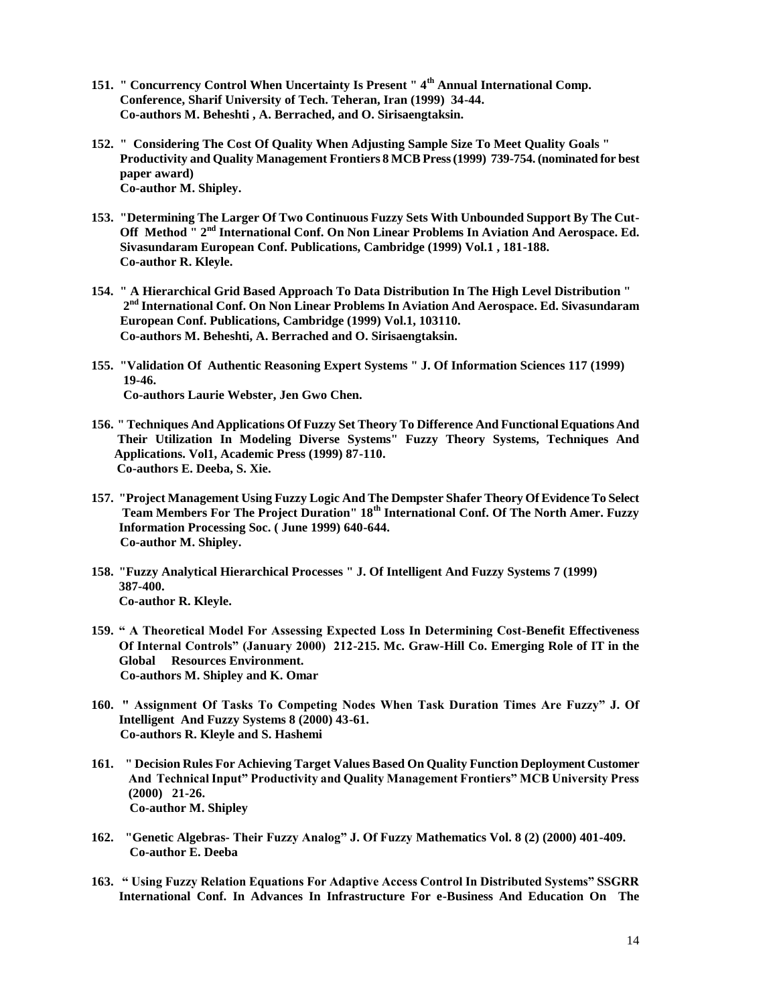- **151. " Concurrency Control When Uncertainty Is Present " 4th Annual International Comp. Conference, Sharif University of Tech. Teheran, Iran (1999) 34-44. Co-authors M. Beheshti , A. Berrached, and O. Sirisaengtaksin.**
- **152. " Considering The Cost Of Quality When Adjusting Sample Size To Meet Quality Goals " Productivity and Quality Management Frontiers 8 MCB Press (1999) 739-754. (nominated for best paper award) Co-author M. Shipley.**
- **153. "Determining The Larger Of Two Continuous Fuzzy Sets With Unbounded Support By The Cut-Off Method " 2nd International Conf. On Non Linear Problems In Aviation And Aerospace. Ed. Sivasundaram European Conf. Publications, Cambridge (1999) Vol.1 , 181-188. Co-author R. Kleyle.**
- **154. " A Hierarchical Grid Based Approach To Data Distribution In The High Level Distribution "** 2<sup>nd</sup> International Conf. On Non Linear Problems In Aviation And Aerospace. Ed. Sivasundaram  **European Conf. Publications, Cambridge (1999) Vol.1, 103110. Co-authors M. Beheshti, A. Berrached and O. Sirisaengtaksin.**
- **155. "Validation Of Authentic Reasoning Expert Systems " J. Of Information Sciences 117 (1999) 19-46. Co-authors Laurie Webster, Jen Gwo Chen.**
- **156. " Techniques And Applications Of Fuzzy Set Theory To Difference And Functional Equations And Their Utilization In Modeling Diverse Systems" Fuzzy Theory Systems, Techniques And Applications. Vol1, Academic Press (1999) 87-110. Co-authors E. Deeba, S. Xie.**
- **157. "Project Management Using Fuzzy Logic And The Dempster Shafer Theory Of Evidence To Select Team Members For The Project Duration" 18th International Conf. Of The North Amer. Fuzzy Information Processing Soc. ( June 1999) 640-644. Co-author M. Shipley.**
- **158. "Fuzzy Analytical Hierarchical Processes " J. Of Intelligent And Fuzzy Systems 7 (1999) 387-400. Co-author R. Kleyle.**
- **159. " A Theoretical Model For Assessing Expected Loss In Determining Cost-Benefit Effectiveness Of Internal Controls" (January 2000) 212-215. Mc. Graw-Hill Co. Emerging Role of IT in the Global Resources Environment. Co-authors M. Shipley and K. Omar**
- **160. " Assignment Of Tasks To Competing Nodes When Task Duration Times Are Fuzzy" J. Of Intelligent And Fuzzy Systems 8 (2000) 43-61. Co-authors R. Kleyle and S. Hashemi**
- **161. " Decision Rules For Achieving Target Values Based On Quality Function Deployment Customer And Technical Input" Productivity and Quality Management Frontiers" MCB University Press (2000) 21-26. Co-author M. Shipley**
- **162. "Genetic Algebras- Their Fuzzy Analog" J. Of Fuzzy Mathematics Vol. 8 (2) (2000) 401-409. Co-author E. Deeba**
- **163. " Using Fuzzy Relation Equations For Adaptive Access Control In Distributed Systems" SSGRR International Conf. In Advances In Infrastructure For e-Business And Education On The**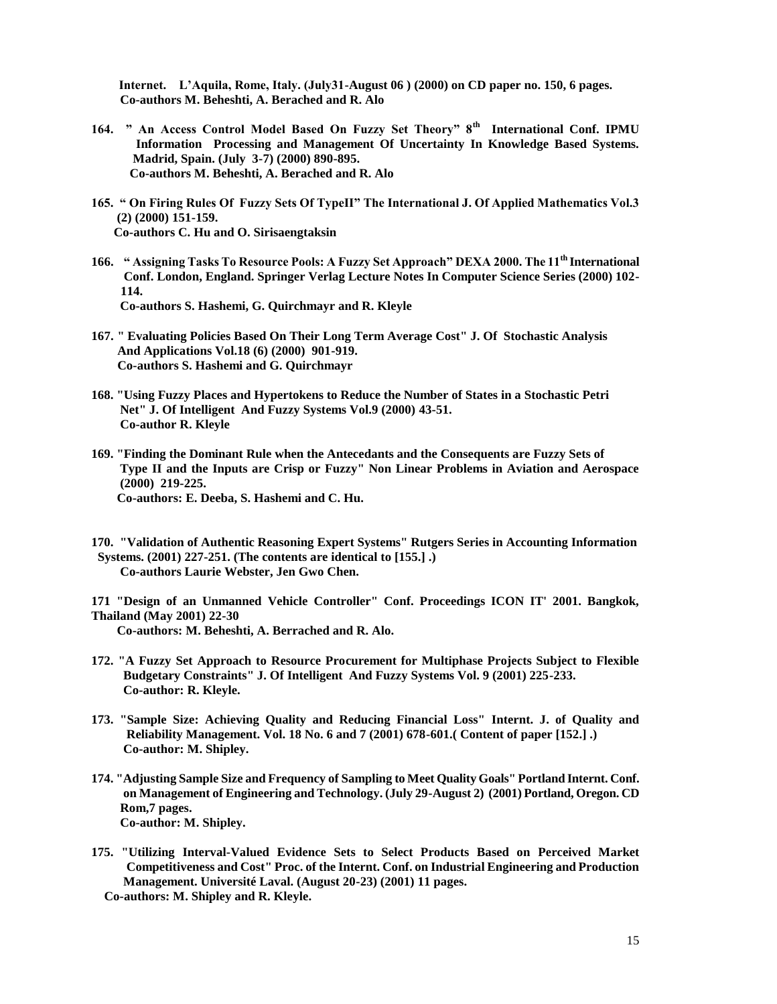**Internet. L'Aquila, Rome, Italy. (July31-August 06 ) (2000) on CD paper no. 150, 6 pages. Co-authors M. Beheshti, A. Berached and R. Alo**

- **164. " An Access Control Model Based On Fuzzy Set Theory" 8th International Conf. IPMU Information Processing and Management Of Uncertainty In Knowledge Based Systems. Madrid, Spain. (July 3-7) (2000) 890-895. Co-authors M. Beheshti, A. Berached and R. Alo**
- **165. " On Firing Rules Of Fuzzy Sets Of TypeII" The International J. Of Applied Mathematics Vol.3 (2) (2000) 151-159. Co-authors C. Hu and O. Sirisaengtaksin**
- **166. " Assigning Tasks To Resource Pools: A Fuzzy Set Approach" DEXA 2000. The 11th International Conf. London, England. Springer Verlag Lecture Notes In Computer Science Series (2000) 102- 114. Co-authors S. Hashemi, G. Quirchmayr and R. Kleyle**
- **167. " Evaluating Policies Based On Their Long Term Average Cost" J. Of Stochastic Analysis And Applications Vol.18 (6) (2000) 901-919. Co-authors S. Hashemi and G. Quirchmayr**
- **168. "Using Fuzzy Places and Hypertokens to Reduce the Number of States in a Stochastic Petri Net" J. Of Intelligent And Fuzzy Systems Vol.9 (2000) 43-51. Co-author R. Kleyle**
- **169. "Finding the Dominant Rule when the Antecedants and the Consequents are Fuzzy Sets of Type II and the Inputs are Crisp or Fuzzy" Non Linear Problems in Aviation and Aerospace (2000) 219-225. Co-authors: E. Deeba, S. Hashemi and C. Hu.**
- **170. "Validation of Authentic Reasoning Expert Systems" Rutgers Series in Accounting Information Systems. (2001) 227-251. (The contents are identical to [155.] .) Co-authors Laurie Webster, Jen Gwo Chen.**

**171 "Design of an Unmanned Vehicle Controller" Conf. Proceedings ICON IT' 2001. Bangkok, Thailand (May 2001) 22-30 Co-authors: M. Beheshti, A. Berrached and R. Alo.**

- **172. "A Fuzzy Set Approach to Resource Procurement for Multiphase Projects Subject to Flexible Budgetary Constraints" J. Of Intelligent And Fuzzy Systems Vol. 9 (2001) 225-233. Co-author: R. Kleyle.**
- **173. "Sample Size: Achieving Quality and Reducing Financial Loss" Internt. J. of Quality and Reliability Management. Vol. 18 No. 6 and 7 (2001) 678-601.( Content of paper [152.] .) Co-author: M. Shipley.**
- **174. "Adjusting Sample Size and Frequency of Sampling to Meet Quality Goals" Portland Internt. Conf. on Management of Engineering and Technology. (July 29-August 2) (2001) Portland, Oregon. CD Rom,7 pages. Co-author: M. Shipley.**
- **175. "Utilizing Interval-Valued Evidence Sets to Select Products Based on Perceived Market Competitiveness and Cost" Proc. of the Internt. Conf. on Industrial Engineering and Production Management. Université Laval. (August 20-23) (2001) 11 pages.**

 **Co-authors: M. Shipley and R. Kleyle.**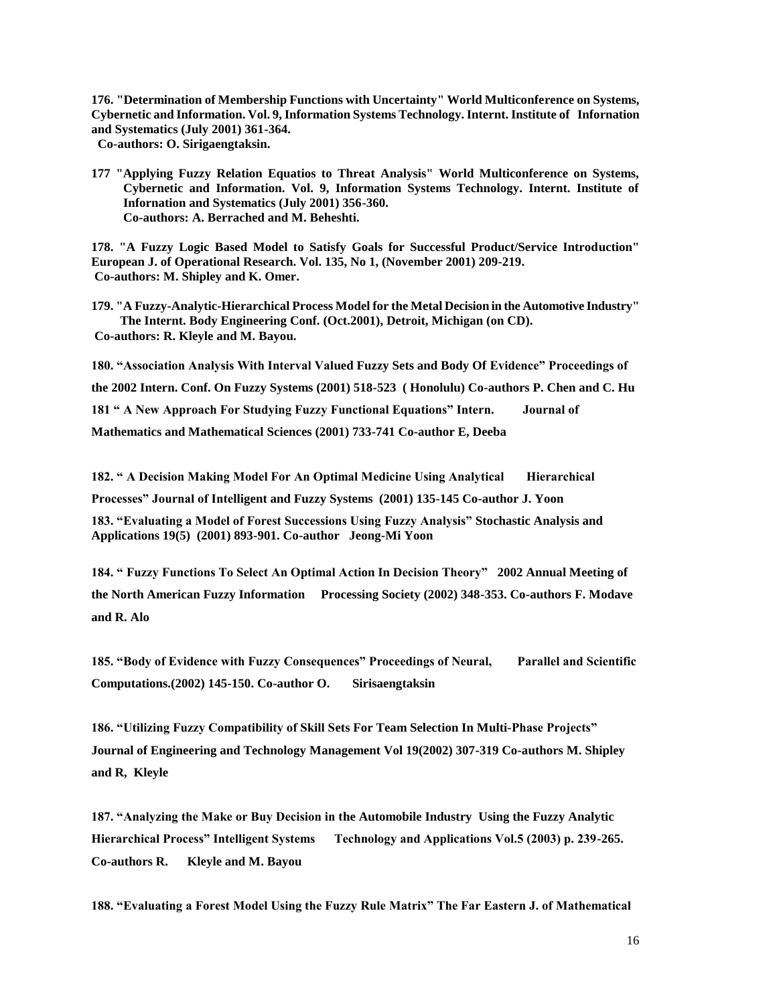**176. "Determination of Membership Functions with Uncertainty" World Multiconference on Systems, Cybernetic and Information. Vol. 9, Information Systems Technology. Internt. Institute of Infornation and Systematics (July 2001) 361-364.** 

 **Co-authors: O. Sirigaengtaksin.**

**177 "Applying Fuzzy Relation Equatios to Threat Analysis" World Multiconference on Systems, Cybernetic and Information. Vol. 9, Information Systems Technology. Internt. Institute of Infornation and Systematics (July 2001) 356-360. Co-authors: A. Berrached and M. Beheshti.**

**178. "A Fuzzy Logic Based Model to Satisfy Goals for Successful Product/Service Introduction" European J. of Operational Research. Vol. 135, No 1, (November 2001) 209-219. Co-authors: M. Shipley and K. Omer.**

**179. "A Fuzzy-Analytic-Hierarchical Process Model for the Metal Decision in the Automotive Industry" The Internt. Body Engineering Conf. (Oct.2001), Detroit, Michigan (on CD). Co-authors: R. Kleyle and M. Bayou.**

**180. "Association Analysis With Interval Valued Fuzzy Sets and Body Of Evidence" Proceedings of the 2002 Intern. Conf. On Fuzzy Systems (2001) 518-523 ( Honolulu) Co-authors P. Chen and C. Hu 181 " A New Approach For Studying Fuzzy Functional Equations" Intern. Journal of Mathematics and Mathematical Sciences (2001) 733-741 Co-author E, Deeba**

**182. " A Decision Making Model For An Optimal Medicine Using Analytical | Hierarchical Processes" Journal of Intelligent and Fuzzy Systems (2001) 135-145 Co-author J. Yoon 183. "Evaluating a Model of Forest Successions Using Fuzzy Analysis" Stochastic Analysis and Applications 19(5) (2001) 893-901. Co-author Jeong-Mi Yoon**

**184. " Fuzzy Functions To Select An Optimal Action In Decision Theory" 2002 Annual Meeting of the North American Fuzzy Information Processing Society (2002) 348-353. Co-authors F. Modave and R. Alo**

**185. "Body of Evidence with Fuzzy Consequences" Proceedings of Neural, Parallel and Scientific Computations.(2002) 145-150. Co-author O. Sirisaengtaksin**

**186. "Utilizing Fuzzy Compatibility of Skill Sets For Team Selection In Multi-Phase Projects" Journal of Engineering and Technology Management Vol 19(2002) 307-319 Co-authors M. Shipley and R, Kleyle**

**187. "Analyzing the Make or Buy Decision in the Automobile Industry Using the Fuzzy Analytic Hierarchical Process" Intelligent Systems Technology and Applications Vol.5 (2003) p. 239-265. Co-authors R. Kleyle and M. Bayou**

**188. "Evaluating a Forest Model Using the Fuzzy Rule Matrix" The Far Eastern J. of Mathematical**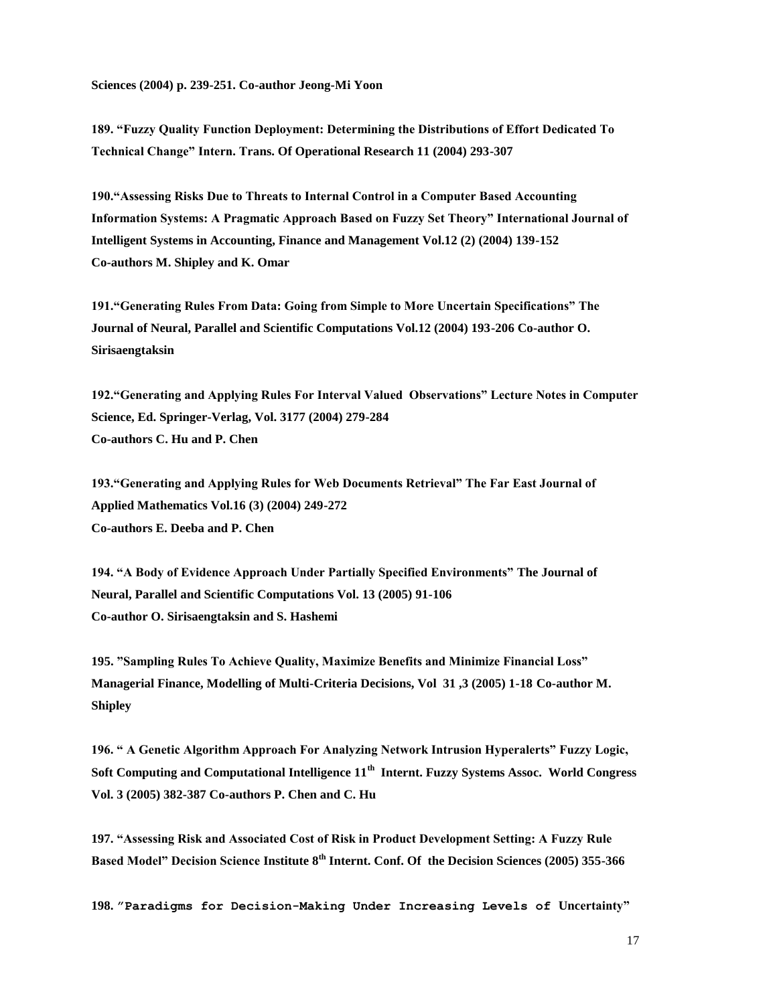**189. "Fuzzy Quality Function Deployment: Determining the Distributions of Effort Dedicated To Technical Change" Intern. Trans. Of Operational Research 11 (2004) 293-307**

**190."Assessing Risks Due to Threats to Internal Control in a Computer Based Accounting Information Systems: A Pragmatic Approach Based on Fuzzy Set Theory" International Journal of Intelligent Systems in Accounting, Finance and Management Vol.12 (2) (2004) 139-152 Co-authors M. Shipley and K. Omar**

**191."Generating Rules From Data: Going from Simple to More Uncertain Specifications" The Journal of Neural, Parallel and Scientific Computations Vol.12 (2004) 193-206 Co-author O. Sirisaengtaksin**

**192."Generating and Applying Rules For Interval Valued Observations" Lecture Notes in Computer Science, Ed. Springer-Verlag, Vol. 3177 (2004) 279-284 Co-authors C. Hu and P. Chen**

**193."Generating and Applying Rules for Web Documents Retrieval" The Far East Journal of Applied Mathematics Vol.16 (3) (2004) 249-272 Co-authors E. Deeba and P. Chen**

**194. "A Body of Evidence Approach Under Partially Specified Environments" The Journal of Neural, Parallel and Scientific Computations Vol. 13 (2005) 91-106 Co-author O. Sirisaengtaksin and S. Hashemi**

**195. "Sampling Rules To Achieve Quality, Maximize Benefits and Minimize Financial Loss" Managerial Finance, Modelling of Multi-Criteria Decisions, Vol 31 ,3 (2005) 1-18 Co-author M. Shipley**

**196. " A Genetic Algorithm Approach For Analyzing Network Intrusion Hyperalerts" Fuzzy Logic, Soft Computing and Computational Intelligence 11th Internt. Fuzzy Systems Assoc. World Congress Vol. 3 (2005) 382-387 Co-authors P. Chen and C. Hu**

**197. "Assessing Risk and Associated Cost of Risk in Product Development Setting: A Fuzzy Rule Based Model" Decision Science Institute 8th Internt. Conf. Of the Decision Sciences (2005) 355-366**

**198. "Paradigms for Decision-Making Under Increasing Levels of Uncertainty"**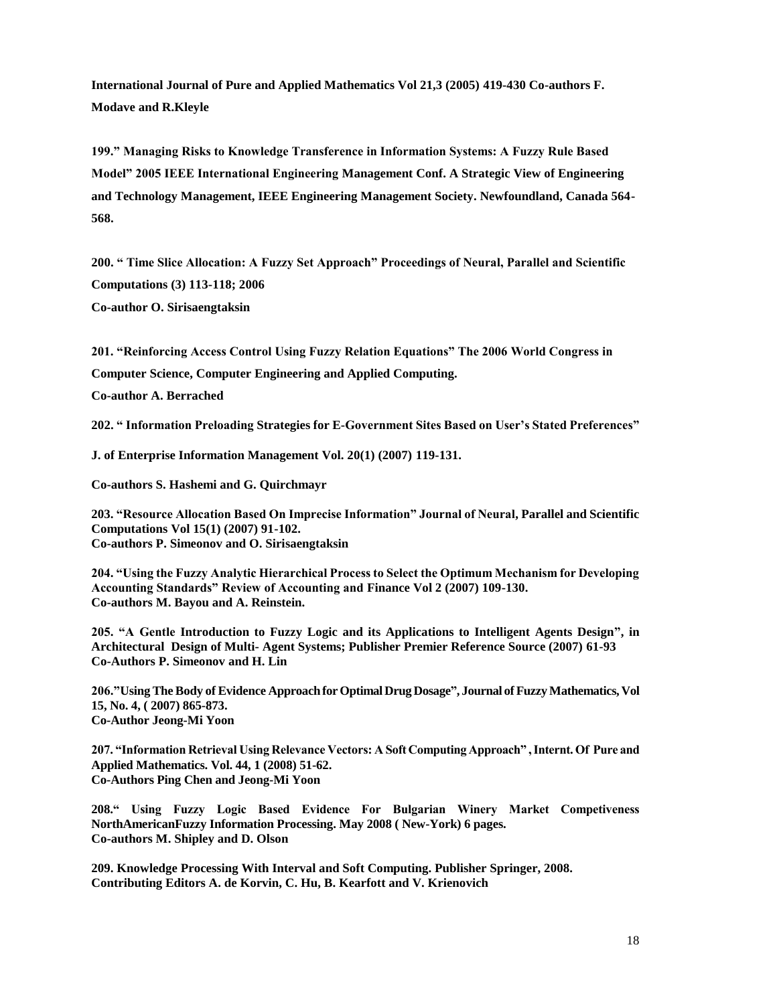**International Journal of Pure and Applied Mathematics Vol 21,3 (2005) 419-430 Co-authors F. Modave and R.Kleyle**

**199." Managing Risks to Knowledge Transference in Information Systems: A Fuzzy Rule Based Model" 2005 IEEE International Engineering Management Conf. A Strategic View of Engineering and Technology Management, IEEE Engineering Management Society. Newfoundland, Canada 564- 568.**

**200. " Time Slice Allocation: A Fuzzy Set Approach" Proceedings of Neural, Parallel and Scientific Computations (3) 113-118; 2006 Co-author O. Sirisaengtaksin**

**201. "Reinforcing Access Control Using Fuzzy Relation Equations" The 2006 World Congress in** 

**Computer Science, Computer Engineering and Applied Computing.**

**Co-author A. Berrached**

**202. " Information Preloading Strategies for E-Government Sites Based on User's Stated Preferences"**

**J. of Enterprise Information Management Vol. 20(1) (2007) 119-131.**

**Co-authors S. Hashemi and G. Quirchmayr**

**203. "Resource Allocation Based On Imprecise Information" Journal of Neural, Parallel and Scientific Computations Vol 15(1) (2007) 91-102. Co-authors P. Simeonov and O. Sirisaengtaksin**

**204. "Using the Fuzzy Analytic Hierarchical Process to Select the Optimum Mechanism for Developing Accounting Standards" Review of Accounting and Finance Vol 2 (2007) 109-130. Co-authors M. Bayou and A. Reinstein.**

**205. "A Gentle Introduction to Fuzzy Logic and its Applications to Intelligent Agents Design", in Architectural Design of Multi- Agent Systems; Publisher Premier Reference Source (2007) 61-93 Co-Authors P. Simeonov and H. Lin**

**206."Using The Body of Evidence Approach for Optimal Drug Dosage", Journal of Fuzzy Mathematics, Vol 15, No. 4, ( 2007) 865-873. Co-Author Jeong-Mi Yoon**

**207. "Information Retrieval Using Relevance Vectors: A Soft Computing Approach" , Internt. Of Pure and Applied Mathematics. Vol. 44, 1 (2008) 51-62. Co-Authors Ping Chen and Jeong-Mi Yoon**

**208." Using Fuzzy Logic Based Evidence For Bulgarian Winery Market Competiveness NorthAmericanFuzzy Information Processing. May 2008 ( New-York) 6 pages. Co-authors M. Shipley and D. Olson**

**209. Knowledge Processing With Interval and Soft Computing. Publisher Springer, 2008. Contributing Editors A. de Korvin, C. Hu, B. Kearfott and V. Krienovich**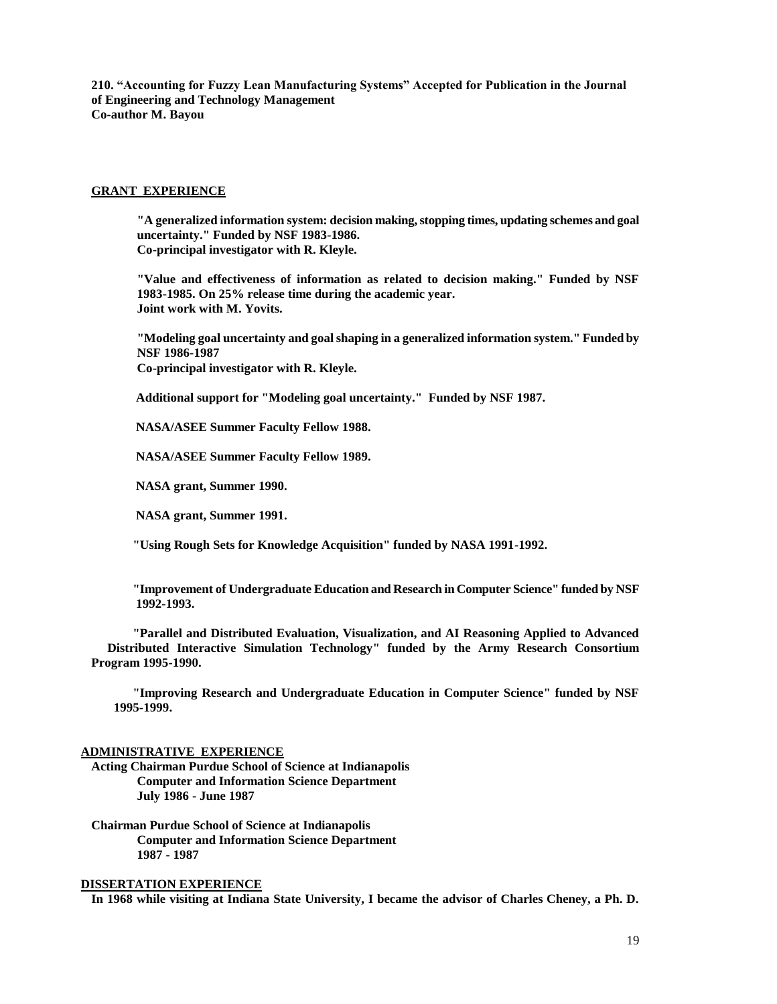**210. "Accounting for Fuzzy Lean Manufacturing Systems" Accepted for Publication in the Journal of Engineering and Technology Management Co-author M. Bayou**

#### **GRANT EXPERIENCE**

**"A generalized information system: decision making, stopping times, updating schemes and goal uncertainty." Funded by NSF 1983-1986. Co-principal investigator with R. Kleyle.**

**"Value and effectiveness of information as related to decision making." Funded by NSF 1983-1985. On 25% release time during the academic year. Joint work with M. Yovits.**

**"Modeling goal uncertainty and goal shaping in a generalized information system." Funded by NSF 1986-1987 Co-principal investigator with R. Kleyle.**

 **Additional support for "Modeling goal uncertainty." Funded by NSF 1987.**

 **NASA/ASEE Summer Faculty Fellow 1988.**

 **NASA/ASEE Summer Faculty Fellow 1989.**

 **NASA grant, Summer 1990.**

 **NASA grant, Summer 1991.**

 **"Using Rough Sets for Knowledge Acquisition" funded by NASA 1991-1992.**

 **"Improvement of Undergraduate Education and Research in Computer Science" funded by NSF 1992-1993.**

 **"Parallel and Distributed Evaluation, Visualization, and AI Reasoning Applied to Advanced Distributed Interactive Simulation Technology" funded by the Army Research Consortium Program 1995-1990.**

 **"Improving Research and Undergraduate Education in Computer Science" funded by NSF 1995-1999.**

#### **ADMINISTRATIVE EXPERIENCE**

**Acting Chairman Purdue School of Science at Indianapolis Computer and Information Science Department July 1986 - June 1987**

**Chairman Purdue School of Science at Indianapolis Computer and Information Science Department 1987 - 1987**

# **DISSERTATION EXPERIENCE**

**In 1968 while visiting at Indiana State University, I became the advisor of Charles Cheney, a Ph. D.**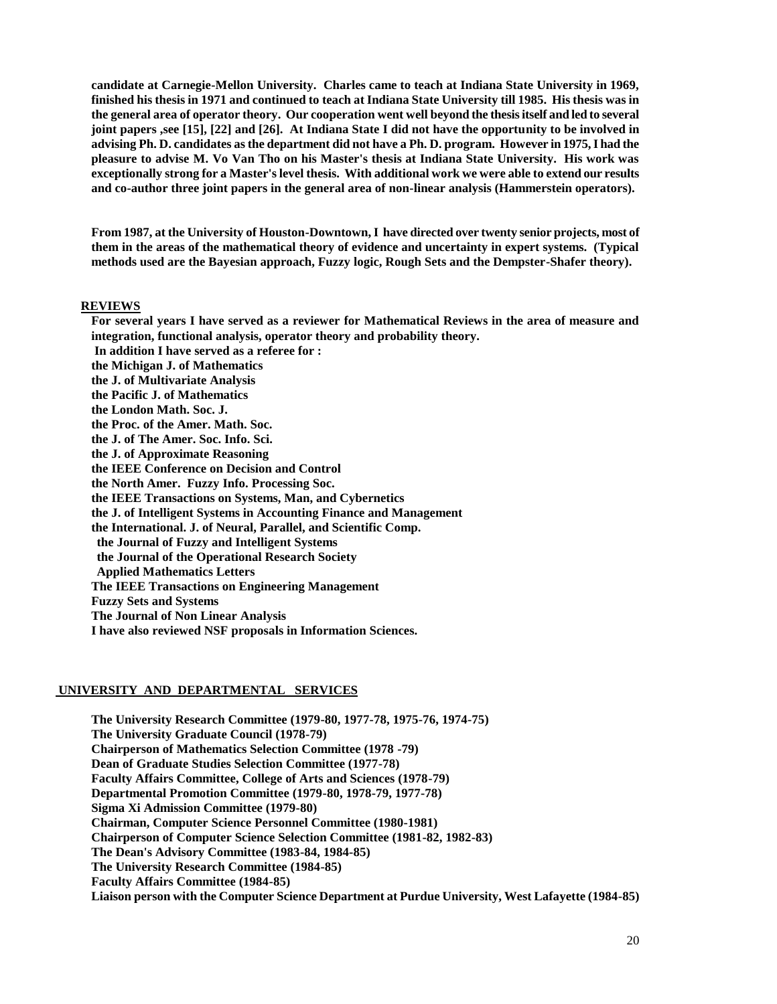**candidate at Carnegie-Mellon University. Charles came to teach at Indiana State University in 1969, finished his thesis in 1971 and continued to teach at Indiana State University till 1985. His thesis was in the general area of operator theory. Our cooperation went well beyond the thesis itself and led to several joint papers ,see [15], [22] and [26]. At Indiana State I did not have the opportunity to be involved in advising Ph. D. candidates as the department did not have a Ph. D. program. However in 1975, I had the pleasure to advise M. Vo Van Tho on his Master's thesis at Indiana State University. His work was exceptionally strong for a Master's level thesis. With additional work we were able to extend our results and co-author three joint papers in the general area of non-linear analysis (Hammerstein operators).**

**From 1987, at the University of Houston-Downtown, I have directed over twenty senior projects, most of them in the areas of the mathematical theory of evidence and uncertainty in expert systems. (Typical methods used are the Bayesian approach, Fuzzy logic, Rough Sets and the Dempster-Shafer theory).**

#### **REVIEWS**

**For several years I have served as a reviewer for Mathematical Reviews in the area of measure and integration, functional analysis, operator theory and probability theory. In addition I have served as a referee for :**

**the Michigan J. of Mathematics the J. of Multivariate Analysis the Pacific J. of Mathematics the London Math. Soc. J. the Proc. of the Amer. Math. Soc. the J. of The Amer. Soc. Info. Sci. the J. of Approximate Reasoning the IEEE Conference on Decision and Control the North Amer. Fuzzy Info. Processing Soc. the IEEE Transactions on Systems, Man, and Cybernetics the J. of Intelligent Systems in Accounting Finance and Management** 

**the International. J. of Neural, Parallel, and Scientific Comp.**

 **the Journal of Fuzzy and Intelligent Systems**

 **the Journal of the Operational Research Society**

 **Applied Mathematics Letters**

**The IEEE Transactions on Engineering Management**

**Fuzzy Sets and Systems**

**The Journal of Non Linear Analysis**

**I have also reviewed NSF proposals in Information Sciences.**

#### **UNIVERSITY AND DEPARTMENTAL SERVICES**

**The University Research Committee (1979-80, 1977-78, 1975-76, 1974-75) The University Graduate Council (1978-79) Chairperson of Mathematics Selection Committee (1978 -79) Dean of Graduate Studies Selection Committee (1977-78) Faculty Affairs Committee, College of Arts and Sciences (1978-79) Departmental Promotion Committee (1979-80, 1978-79, 1977-78) Sigma Xi Admission Committee (1979-80) Chairman, Computer Science Personnel Committee (1980-1981) Chairperson of Computer Science Selection Committee (1981-82, 1982-83) The Dean's Advisory Committee (1983-84, 1984-85) The University Research Committee (1984-85) Faculty Affairs Committee (1984-85) Liaison person with the Computer Science Department at Purdue University, West Lafayette (1984-85)**